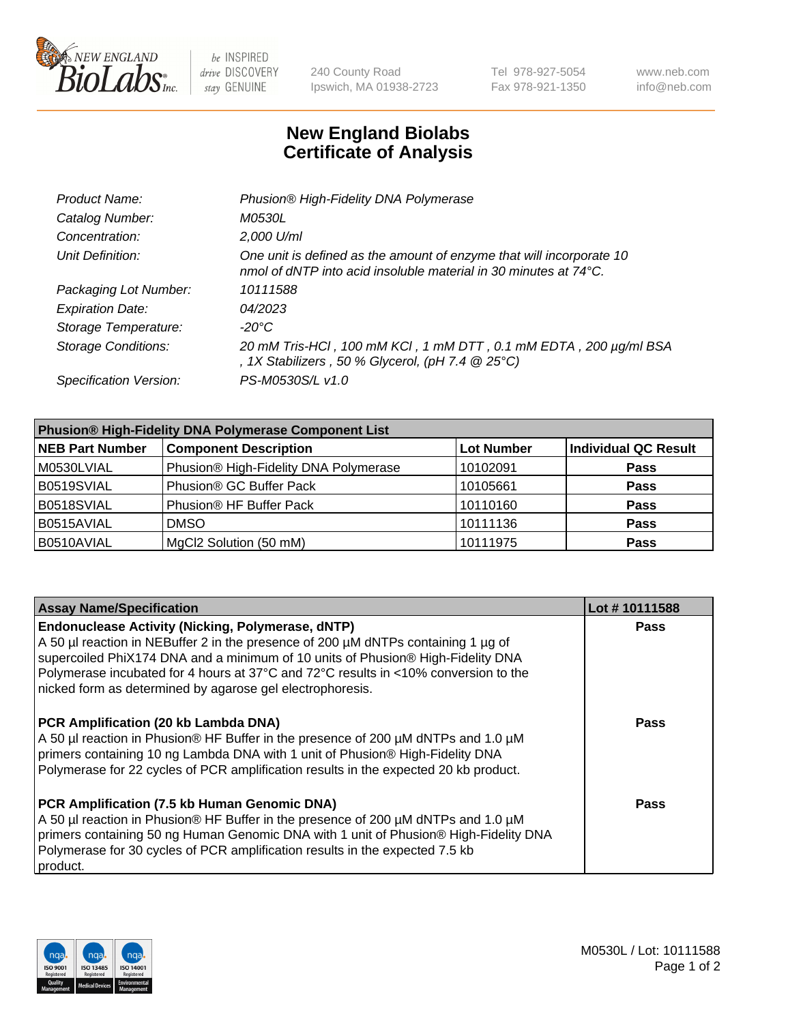

be INSPIRED drive DISCOVERY stay GENUINE

240 County Road Ipswich, MA 01938-2723 Tel 978-927-5054 Fax 978-921-1350 www.neb.com info@neb.com

## **New England Biolabs Certificate of Analysis**

| Product Name:              | Phusion® High-Fidelity DNA Polymerase                                                                                                    |
|----------------------------|------------------------------------------------------------------------------------------------------------------------------------------|
| Catalog Number:            | <i>M0530L</i>                                                                                                                            |
| Concentration:             | 2,000 U/ml                                                                                                                               |
| Unit Definition:           | One unit is defined as the amount of enzyme that will incorporate 10<br>nmol of dNTP into acid insoluble material in 30 minutes at 74°C. |
| Packaging Lot Number:      | 10111588                                                                                                                                 |
| <b>Expiration Date:</b>    | 04/2023                                                                                                                                  |
| Storage Temperature:       | $-20^{\circ}$ C                                                                                                                          |
| <b>Storage Conditions:</b> | 20 mM Tris-HCl, 100 mM KCl, 1 mM DTT, 0.1 mM EDTA, 200 µg/ml BSA<br>, 1X Stabilizers, 50 % Glycerol, (pH 7.4 $@25°C$ )                   |
| Specification Version:     | PS-M0530S/L v1.0                                                                                                                         |

| <b>Phusion® High-Fidelity DNA Polymerase Component List</b> |                                       |                   |                             |  |
|-------------------------------------------------------------|---------------------------------------|-------------------|-----------------------------|--|
| <b>NEB Part Number</b>                                      | <b>Component Description</b>          | <b>Lot Number</b> | <b>Individual QC Result</b> |  |
| M0530LVIAL                                                  | Phusion® High-Fidelity DNA Polymerase | 10102091          | <b>Pass</b>                 |  |
| B0519SVIAL                                                  | Phusion <sup>®</sup> GC Buffer Pack   | 10105661          | <b>Pass</b>                 |  |
| B0518SVIAL                                                  | Phusion® HF Buffer Pack               | 10110160          | <b>Pass</b>                 |  |
| B0515AVIAL                                                  | <b>DMSO</b>                           | 10111136          | <b>Pass</b>                 |  |
| B0510AVIAL                                                  | MgCl2 Solution (50 mM)                | 10111975          | <b>Pass</b>                 |  |

| <b>Assay Name/Specification</b>                                                                                                                                                                                                                                                                                                                                                      | Lot #10111588 |
|--------------------------------------------------------------------------------------------------------------------------------------------------------------------------------------------------------------------------------------------------------------------------------------------------------------------------------------------------------------------------------------|---------------|
| <b>Endonuclease Activity (Nicking, Polymerase, dNTP)</b><br>A 50 µl reaction in NEBuffer 2 in the presence of 200 µM dNTPs containing 1 µg of<br>supercoiled PhiX174 DNA and a minimum of 10 units of Phusion® High-Fidelity DNA<br>Polymerase incubated for 4 hours at 37°C and 72°C results in <10% conversion to the<br>nicked form as determined by agarose gel electrophoresis. | <b>Pass</b>   |
| <b>PCR Amplification (20 kb Lambda DNA)</b><br>A 50 µl reaction in Phusion® HF Buffer in the presence of 200 µM dNTPs and 1.0 µM<br>primers containing 10 ng Lambda DNA with 1 unit of Phusion® High-Fidelity DNA<br>Polymerase for 22 cycles of PCR amplification results in the expected 20 kb product.                                                                            | Pass          |
| PCR Amplification (7.5 kb Human Genomic DNA)<br>A 50 µl reaction in Phusion® HF Buffer in the presence of 200 µM dNTPs and 1.0 µM<br>primers containing 50 ng Human Genomic DNA with 1 unit of Phusion® High-Fidelity DNA<br>Polymerase for 30 cycles of PCR amplification results in the expected 7.5 kb<br>product.                                                                | Pass          |